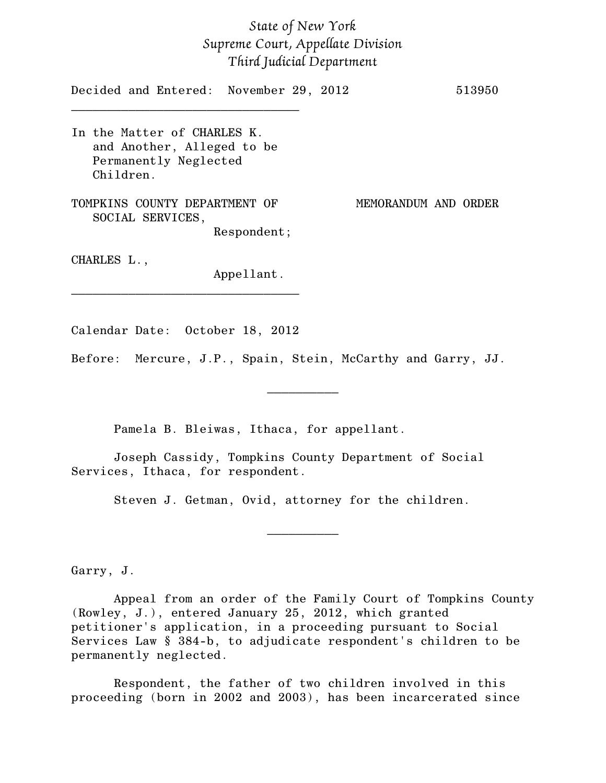## *State of New York Supreme Court, Appellate Division Third Judicial Department*

| Decided and Entered: November 29, 2012                                                          |             |  |  |                      |  | 513950 |
|-------------------------------------------------------------------------------------------------|-------------|--|--|----------------------|--|--------|
| In the Matter of CHARLES K.<br>and Another, Alleged to be<br>Permanently Neglected<br>Children. |             |  |  |                      |  |        |
| TOMPKINS COUNTY DEPARTMENT OF<br>SOCIAL SERVICES,                                               |             |  |  | MEMORANDUM AND ORDER |  |        |
|                                                                                                 | Respondent; |  |  |                      |  |        |
| CHARLES L.,                                                                                     | Appellant.  |  |  |                      |  |        |

Calendar Date: October 18, 2012

Before: Mercure, J.P., Spain, Stein, McCarthy and Garry, JJ.

 $\frac{1}{2}$ 

Pamela B. Bleiwas, Ithaca, for appellant.

Joseph Cassidy, Tompkins County Department of Social Services, Ithaca, for respondent.

Steven J. Getman, Ovid, attorney for the children.

 $\frac{1}{2}$ 

Garry, J.

Appeal from an order of the Family Court of Tompkins County (Rowley, J.), entered January 25, 2012, which granted petitioner's application, in a proceeding pursuant to Social Services Law § 384-b, to adjudicate respondent's children to be permanently neglected.

Respondent, the father of two children involved in this proceeding (born in 2002 and 2003), has been incarcerated since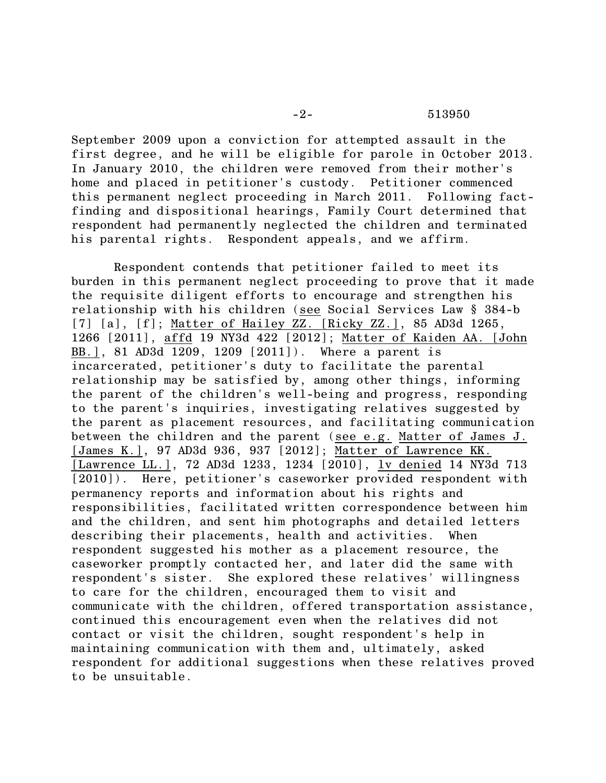September 2009 upon a conviction for attempted assault in the first degree, and he will be eligible for parole in October 2013. In January 2010, the children were removed from their mother's home and placed in petitioner's custody. Petitioner commenced this permanent neglect proceeding in March 2011. Following factfinding and dispositional hearings, Family Court determined that respondent had permanently neglected the children and terminated his parental rights. Respondent appeals, and we affirm.

Respondent contends that petitioner failed to meet its burden in this permanent neglect proceeding to prove that it made the requisite diligent efforts to encourage and strengthen his relationship with his children (see Social Services Law § 384-b [7] [a], [f]; Matter of Hailey ZZ. [Ricky ZZ.], 85 AD3d 1265, 1266 [2011], affd 19 NY3d 422 [2012]; Matter of Kaiden AA. [John BB.], 81 AD3d 1209, 1209 [2011]). Where a parent is incarcerated, petitioner's duty to facilitate the parental relationship may be satisfied by, among other things, informing the parent of the children's well-being and progress, responding to the parent's inquiries, investigating relatives suggested by the parent as placement resources, and facilitating communication between the children and the parent (see e.g. Matter of James J. [James K.], 97 AD3d 936, 937 [2012]; Matter of Lawrence KK. [Lawrence LL.], 72 AD3d 1233, 1234 [2010], lv denied 14 NY3d 713 [2010]). Here, petitioner's caseworker provided respondent with permanency reports and information about his rights and responsibilities, facilitated written correspondence between him and the children, and sent him photographs and detailed letters describing their placements, health and activities. When respondent suggested his mother as a placement resource, the caseworker promptly contacted her, and later did the same with respondent's sister. She explored these relatives' willingness to care for the children, encouraged them to visit and communicate with the children, offered transportation assistance, continued this encouragement even when the relatives did not contact or visit the children, sought respondent's help in maintaining communication with them and, ultimately, asked respondent for additional suggestions when these relatives proved to be unsuitable.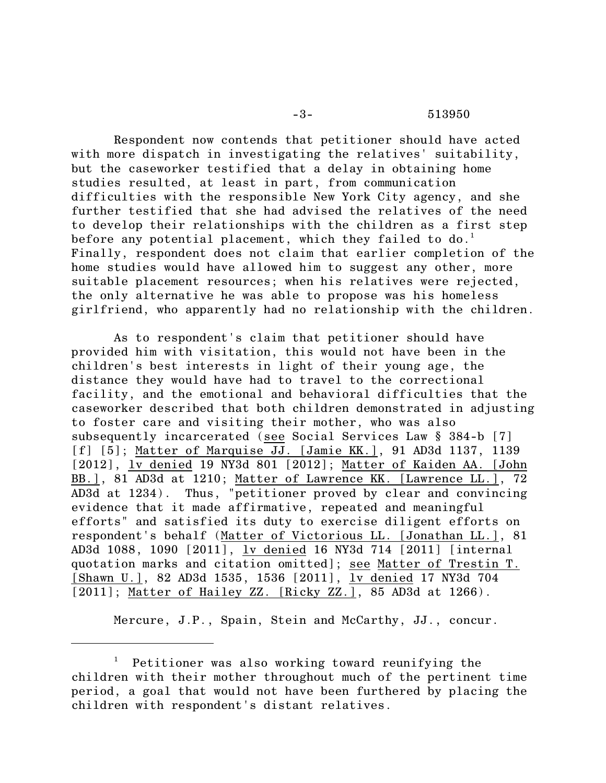Respondent now contends that petitioner should have acted with more dispatch in investigating the relatives' suitability, but the caseworker testified that a delay in obtaining home studies resulted, at least in part, from communication difficulties with the responsible New York City agency, and she further testified that she had advised the relatives of the need to develop their relationships with the children as a first step before any potential placement, which they failed to do. $^{\rm 1}$ Finally, respondent does not claim that earlier completion of the home studies would have allowed him to suggest any other, more suitable placement resources; when his relatives were rejected, the only alternative he was able to propose was his homeless girlfriend, who apparently had no relationship with the children.

As to respondent's claim that petitioner should have provided him with visitation, this would not have been in the children's best interests in light of their young age, the distance they would have had to travel to the correctional facility, and the emotional and behavioral difficulties that the caseworker described that both children demonstrated in adjusting to foster care and visiting their mother, who was also subsequently incarcerated (see Social Services Law § 384-b [7] [f] [5]; Matter of Marquise JJ. [Jamie KK.], 91 AD3d 1137, 1139 [2012], lv denied 19 NY3d 801 [2012]; Matter of Kaiden AA. [John BB.], 81 AD3d at 1210; Matter of Lawrence KK. [Lawrence LL.], 72 AD3d at 1234). Thus, "petitioner proved by clear and convincing evidence that it made affirmative, repeated and meaningful efforts" and satisfied its duty to exercise diligent efforts on respondent's behalf (Matter of Victorious LL. [Jonathan LL.], 81 AD3d 1088, 1090 [2011], lv denied 16 NY3d 714 [2011] [internal quotation marks and citation omitted]; see Matter of Trestin T. [Shawn U.], 82 AD3d 1535, 1536 [2011], lv denied 17 NY3d 704 [2011]; Matter of Hailey ZZ. [Ricky ZZ.], 85 AD3d at 1266).

Mercure, J.P., Spain, Stein and McCarthy, JJ., concur.

 $^1$  Petitioner was also working toward reunifying the children with their mother throughout much of the pertinent time period, a goal that would not have been furthered by placing the children with respondent's distant relatives.